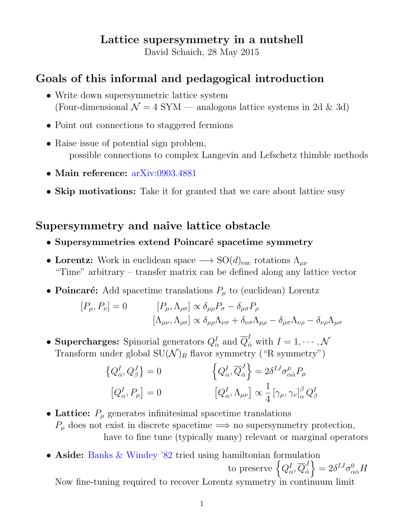# Lattice supersymmetry in a nutshell

David Schaich, 28 May 2015

# Goals of this informal and pedagogical introduction

- Write down supersymmetric lattice system (Four-dimensional  $\mathcal{N} = 4$  SYM — analogous lattice systems in 2d & 3d)
- Point out connections to staggered fermions
- Raise issue of potential sign problem, possible connections to complex Langevin and Lefschetz thimble methods
- Main reference: [arXiv:0903.4881](http://arxiv.org/abs/0903.4881)
- Skip motivations: Take it for granted that we care about lattice susy

# Supersymmetry and naive lattice obstacle

- Supersymmetries extend Poincaré spacetime symmetry
- Lorentz: Work in euclidean space  $\longrightarrow SO(d)_{\text{euc}}$  rotations  $\Lambda_{\mu\nu}$ "Time" arbitrary – transfer matrix can be defined along any lattice vector
- Poincaré: Add spacetime translations  $P_\mu$  to (euclidean) Lorentz

$$
[P_{\mu}, P_{\nu}] = 0 \qquad [P_{\mu}, \Lambda_{\rho\sigma}] \propto \delta_{\mu\rho} P_{\sigma} - \delta_{\mu\sigma} P_{\rho}
$$

$$
[\Lambda_{\mu\nu}, \Lambda_{\rho\sigma}] \propto \delta_{\mu\rho} \Lambda_{\nu\sigma} + \delta_{\nu\sigma} \Lambda_{\mu\rho} - \delta_{\mu\sigma} \Lambda_{\nu\rho} - \delta_{\nu\rho} \Lambda_{\mu\sigma}
$$

• Supercharges: Spinorial generators  $Q^I_\alpha$  and  $\overline{Q}^I_{\dot{\alpha}}$  with  $I=1,\cdots,\mathcal{N}$ Transform under global  $SU(N)_R$  flavor symmetry ("R symmetry")

$$
\left\{Q_{\alpha}^{I}, Q_{\beta}^{J}\right\} = 0 \qquad \left\{Q_{\alpha}^{I}, \overline{Q}_{\dot{\alpha}}^{J}\right\} = 2\delta^{IJ}\sigma_{\alpha\dot{\alpha}}^{\mu}P_{\mu}
$$

$$
\left[Q_{\alpha}^{I}, P_{\mu}\right] = 0 \qquad \left[Q_{\alpha}^{I}, \Lambda_{\mu\nu}\right] \propto \frac{1}{4} \left[\gamma_{\mu}, \gamma_{\nu}\right]_{\alpha}^{\beta} Q_{\beta}^{I}
$$

- Lattice:  $P_{\mu}$  generates infinitesimal spacetime translations  $P_\mu$  does not exist in discrete spacetime  $\Longrightarrow$  no supersymmetry protection, have to fine tune (typically many) relevant or marginal operators
- Aside: [Banks & Windey '82](http://www.sciencedirect.com/science/article/pii/0550321382905545) tried using hamiltonian formulation to preserve  $\left\{Q^I_{\alpha}, \overline{Q}^J_{\dot{\alpha}}\right\}$  $\dot{\alpha}$  $= 2 \delta^{IJ} \sigma^0_{\alpha \dot{\alpha}} H$

Now fine-tuning required to recover Lorentz symmetry in continuum limit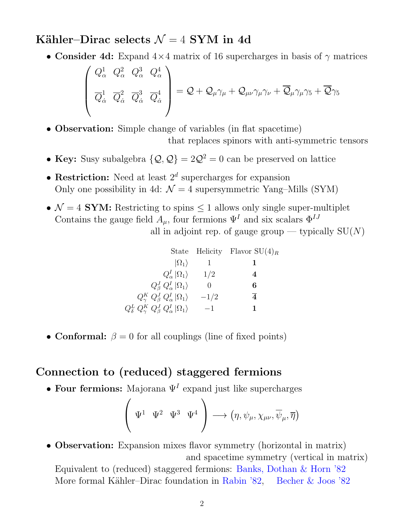### Kähler–Dirac selects  $\mathcal{N} = 4$  SYM in 4d

• Consider 4d: Expand  $4\times4$  matrix of 16 supercharges in basis of  $\gamma$  matrices

$$
\begin{pmatrix} Q_{\alpha}^1 & Q_{\alpha}^2 & Q_{\alpha}^3 & Q_{\alpha}^4 \\ \overline{Q}_{\dot{\alpha}}^1 & \overline{Q}_{\dot{\alpha}}^2 & \overline{Q}_{\dot{\alpha}}^3 & \overline{Q}_{\dot{\alpha}}^4 \end{pmatrix} = Q + Q_{\mu}\gamma_{\mu} + Q_{\mu\nu}\gamma_{\mu}\gamma_{\nu} + \overline{Q}_{\mu}\gamma_{\mu}\gamma_{5} + \overline{Q}\gamma_{5}
$$

• Observation: Simple change of variables (in flat spacetime)

that replaces spinors with anti-symmetric tensors

- Key: Susy subalgebra  $\{Q, Q\} = 2Q^2 = 0$  can be preserved on lattice
- Restriction: Need at least  $2^d$  supercharges for expansion Only one possibility in 4d:  $\mathcal{N} = 4$  supersymmetric Yang–Mills (SYM)
- $\mathcal{N} = 4$  **SYM:** Restricting to spins  $\leq 1$  allows only single super-multiplet Contains the gauge field  $A_{\mu}$ , four fermions  $\Psi^{I}$  and six scalars  $\Phi^{IJ}$ all in adjoint rep. of gauge group — typically  $SU(N)$

|                                                               |          | State Helicity Flavor $SU(4)_R$ |
|---------------------------------------------------------------|----------|---------------------------------|
| $ \Omega_1\rangle$                                            |          |                                 |
| $Q_{\alpha}^{I} \Omega_{1}\rangle$                            | 1/2      | 4                               |
| $Q^J_\beta Q^I_\alpha  \Omega_1\rangle$                       | $\theta$ | 6                               |
| $Q_\gamma^K Q_\beta^J Q_\alpha^I  \Omega_1\rangle$            | $-1/2$   | $\overline{4}$                  |
| $Q^L_\delta\ Q^K_\gamma\ Q^J_\beta\ Q^I_\alpha\ket{\Omega_1}$ | $-1$     | 1                               |

• Conformal:  $\beta = 0$  for all couplings (line of fixed points)

### Connection to (reduced) staggered fermions

• Four fermions: Majorana  $\Psi^I$  expand just like supercharges

$$
\left(\begin{array}{cc} \Psi^1 & \Psi^2 & \Psi^3 & \Psi^4 \end{array}\right) \longrightarrow \left(\eta, \psi_\mu, \chi_{\mu\nu}, \overline{\psi}_\mu, \overline{\eta}\right)
$$

• Observation: Expansion mixes flavor symmetry (horizontal in matrix) and spacetime symmetry (vertical in matrix)

Equivalent to (reduced) staggered fermions: [Banks, Dothan & Horn '82](http://www.sciencedirect.com/science/article/pii/0370269382905718) More formal Kähler–Dirac foundation in [Rabin '82,](http://www.sciencedirect.com/science/article/pii/0550321382904345) [Becher & Joos '82](http://link.springer.com/article/10.1007/BF01614426)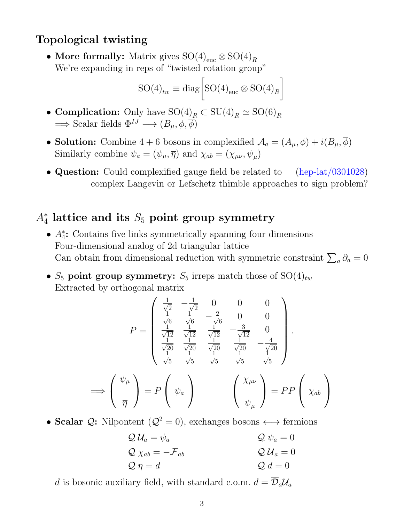### Topological twisting

• More formally: Matrix gives  $\mathrm{SO(4)}_{\text{euc}} \otimes \mathrm{SO(4)}_R$ We're expanding in reps of "twisted rotation group"

$$
SO(4)_{tw} \equiv \text{diag}\bigg[SO(4)_{\text{euc}} \otimes SO(4)_R\bigg]
$$

- Complication: Only have  $\mathrm{SO}(4)_{R} \subset \mathrm{SU}(4)_{R} \simeq \mathrm{SO}(6)_{R}$  $\Rightarrow$  Scalar fields  $\Phi^{IJ} \longrightarrow (B_{\mu}, \phi, \overline{\phi})$
- Solution: Combine 4 + 6 bosons in complexified  $\mathcal{A}_a = (A_\mu, \phi) + i(B_\mu, \overline{\phi})$ Similarly combine  $\psi_a = (\psi_\mu, \overline{\eta})$  and  $\chi_{ab} = (\chi_{\mu\nu}, \psi_\mu)$
- Question: Could complexified gauge field be related to [\(hep-lat/0301028\)](http://arxiv.org/abs/hep-lat/0301028) complex Langevin or Lefschetz thimble approaches to sign problem?

# $A_4^*$  lattice and its  $S_5$  point group symmetry

- A<sup>∗</sup> 4 : Contains five links symmetrically spanning four dimensions Four-dimensional analog of 2d triangular lattice Can obtain from dimensional reduction with symmetric constraint  $\sum_a \partial_a = 0$
- $S_5$  point group symmetry:  $S_5$  irreps match those of  $SO(4)_{tw}$ Extracted by orthogonal matrix

$$
P = \begin{pmatrix} \frac{1}{\sqrt{2}} & -\frac{1}{\sqrt{2}} & 0 & 0 & 0 \\ \frac{1}{\sqrt{6}} & \frac{1}{\sqrt{6}} & -\frac{2}{\sqrt{6}} & 0 & 0 \\ \frac{1}{\sqrt{12}} & \frac{1}{\sqrt{12}} & \frac{1}{\sqrt{12}} & -\frac{3}{\sqrt{12}} & 0 \\ \frac{1}{\sqrt{20}} & \frac{1}{\sqrt{20}} & \frac{1}{\sqrt{20}} & \frac{1}{\sqrt{20}} & -\frac{4}{\sqrt{20}} \\ \frac{1}{\sqrt{5}} & \frac{1}{\sqrt{5}} & \frac{1}{\sqrt{5}} & \frac{1}{\sqrt{5}} & \frac{1}{\sqrt{5}} \end{pmatrix}.
$$
  
\n
$$
\implies \begin{pmatrix} \psi_{\mu} \\ \overline{\eta} \end{pmatrix} = P \begin{pmatrix} \psi_{a} \\ \psi_{a} \end{pmatrix} \qquad \begin{pmatrix} \chi_{\mu\nu} \\ \overline{\psi}_{\mu} \end{pmatrix} = PP \begin{pmatrix} \chi_{ab} \\ \chi_{ab} \end{pmatrix}
$$

• Scalar  $\mathcal{Q}$ : Nilpontent  $(\mathcal{Q}^2 = 0)$ , exchanges bosons  $\longleftrightarrow$  fermions

$$
Q \mathcal{U}_a = \psi_a
$$
  
\n
$$
Q \chi_{ab} = -\overline{\mathcal{F}}_{ab}
$$
  
\n
$$
Q \eta = d
$$
  
\n
$$
Q \overline{\mathcal{U}}_a = 0
$$
  
\n
$$
Q \overline{\mathcal{U}}_a = 0
$$
  
\n
$$
Q \mathcal{U}_a = 0
$$
  
\n
$$
Q \mathcal{U}_a = 0
$$

d is bosonic auxiliary field, with standard e.o.m.  $d = \overline{\mathcal{D}}_a \mathcal{U}_a$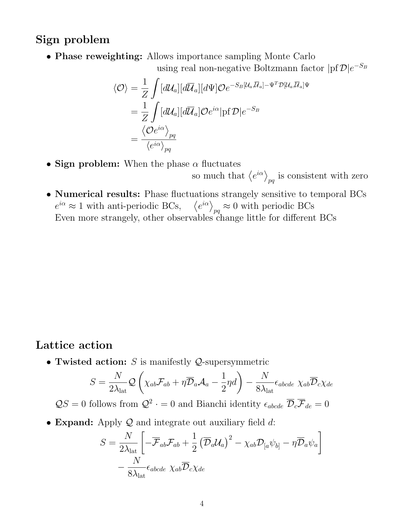#### Sign problem

• Phase reweighting: Allows importance sampling Monte Carlo

using real non-negative Boltzmann factor  $|{\rm pf}\, {\cal D}|e^{-S_B}$ 

$$
\langle \mathcal{O} \rangle = \frac{1}{Z} \int [d\mathcal{U}_a][d\overline{\mathcal{U}}_a][d\Psi] \mathcal{O}e^{-S_B[\mathcal{U}_a,\overline{\mathcal{U}}_a] - \Psi^T \mathcal{D}[\mathcal{U}_a,\overline{\mathcal{U}}_a]\Psi}
$$
  

$$
= \frac{1}{Z} \int [d\mathcal{U}_a][d\overline{\mathcal{U}}_a] \mathcal{O}e^{i\alpha} |\text{pf}\,\mathcal{D}|e^{-S_B}
$$
  

$$
= \frac{\langle \mathcal{O}e^{i\alpha} \rangle_{pq}}{\langle e^{i\alpha} \rangle_{pq}}
$$

- Sign problem: When the phase  $\alpha$  fluctuates
	- so much that  $\langle e^{i\alpha} \rangle_{pq}$  is consistent with zero
- Numerical results: Phase fluctuations strangely sensitive to temporal BCs  $e^{i\alpha} \approx 1$  with anti-periodic BCs,  $\langle e^{i\alpha} \rangle_{pq} \approx 0$  with periodic BCs Even more strangely, other observables change little for different BCs

#### Lattice action

• Twisted action:  $S$  is manifestly  $Q$ -supersymmetric

$$
S = \frac{N}{2\lambda_{\text{lat}}} \mathcal{Q}\left(\chi_{ab} \mathcal{F}_{ab} + \eta \overline{\mathcal{D}}_a \mathcal{A}_a - \frac{1}{2} \eta d\right) - \frac{N}{8\lambda_{\text{lat}}} \epsilon_{abcde} \ \chi_{ab} \overline{\mathcal{D}}_c \chi_{de}
$$

 $QS = 0$  follows from  $Q^2 \cdot = 0$  and Bianchi identity  $\epsilon_{abcde}$   $\overline{\mathcal{D}}_c \overline{\mathcal{F}}_{de} = 0$ 

• Expand: Apply  $Q$  and integrate out auxiliary field  $d$ :

$$
S = \frac{N}{2\lambda_{\text{lat}}} \left[ -\overline{\mathcal{F}}_{ab} \mathcal{F}_{ab} + \frac{1}{2} (\overline{\mathcal{D}}_a \mathcal{U}_a)^2 - \chi_{ab} \mathcal{D}_{[a} \psi_{b]} - \eta \overline{\mathcal{D}}_a \psi_a \right] - \frac{N}{8\lambda_{\text{lat}}} \epsilon_{abcde} \ \chi_{ab} \overline{\mathcal{D}}_c \chi_{de}
$$